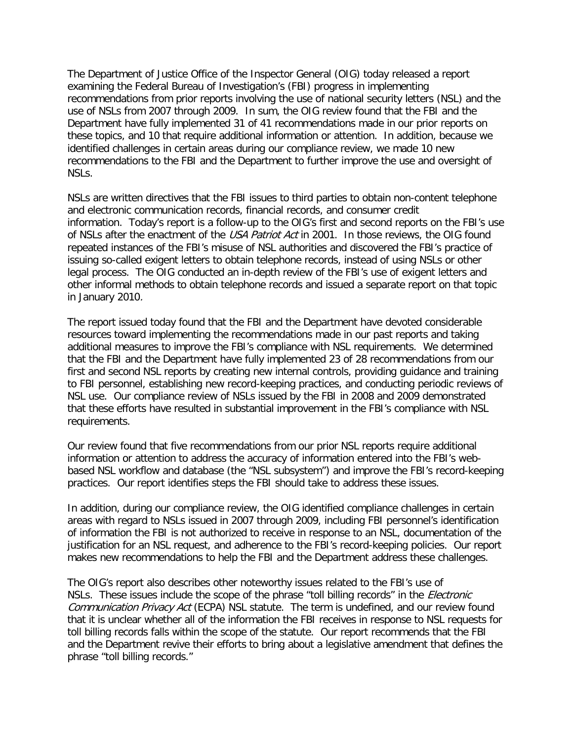The Department of Justice Office of the Inspector General (OIG) today released a report examining the Federal Bureau of Investigation's (FBI) progress in implementing recommendations from prior reports involving the use of national security letters (NSL) and the use of NSLs from 2007 through 2009. In sum, the OIG review found that the FBI and the Department have fully implemented 31 of 41 recommendations made in our prior reports on these topics, and 10 that require additional information or attention. In addition, because we identified challenges in certain areas during our compliance review, we made 10 new recommendations to the FBI and the Department to further improve the use and oversight of NSLs.

NSLs are written directives that the FBI issues to third parties to obtain non-content telephone and electronic communication records, financial records, and consumer credit information. Today's report is a follow-up to the OIG's first and second reports on the FBI's use of NSLs after the enactment of the USA Patriot Act in 2001. In those reviews, the OIG found repeated instances of the FBI's misuse of NSL authorities and discovered the FBI's practice of issuing so-called exigent letters to obtain telephone records, instead of using NSLs or other legal process. The OIG conducted an in-depth review of the FBI's use of exigent letters and other informal methods to obtain telephone records and issued a separate report on that topic in January 2010.

The report issued today found that the FBI and the Department have devoted considerable resources toward implementing the recommendations made in our past reports and taking additional measures to improve the FBI's compliance with NSL requirements. We determined that the FBI and the Department have fully implemented 23 of 28 recommendations from our first and second NSL reports by creating new internal controls, providing guidance and training to FBI personnel, establishing new record-keeping practices, and conducting periodic reviews of NSL use. Our compliance review of NSLs issued by the FBI in 2008 and 2009 demonstrated that these efforts have resulted in substantial improvement in the FBI's compliance with NSL requirements.

Our review found that five recommendations from our prior NSL reports require additional information or attention to address the accuracy of information entered into the FBI's webbased NSL workflow and database (the "NSL subsystem") and improve the FBI's record-keeping practices. Our report identifies steps the FBI should take to address these issues.

In addition, during our compliance review, the OIG identified compliance challenges in certain areas with regard to NSLs issued in 2007 through 2009, including FBI personnel's identification of information the FBI is not authorized to receive in response to an NSL, documentation of the justification for an NSL request, and adherence to the FBI's record-keeping policies. Our report makes new recommendations to help the FBI and the Department address these challenges.

The OIG's report also describes other noteworthy issues related to the FBI's use of NSLs. These issues include the scope of the phrase "toll billing records" in the *Electronic* Communication Privacy Act (ECPA) NSL statute. The term is undefined, and our review found that it is unclear whether all of the information the FBI receives in response to NSL requests for toll billing records falls within the scope of the statute. Our report recommends that the FBI and the Department revive their efforts to bring about a legislative amendment that defines the phrase "toll billing records."